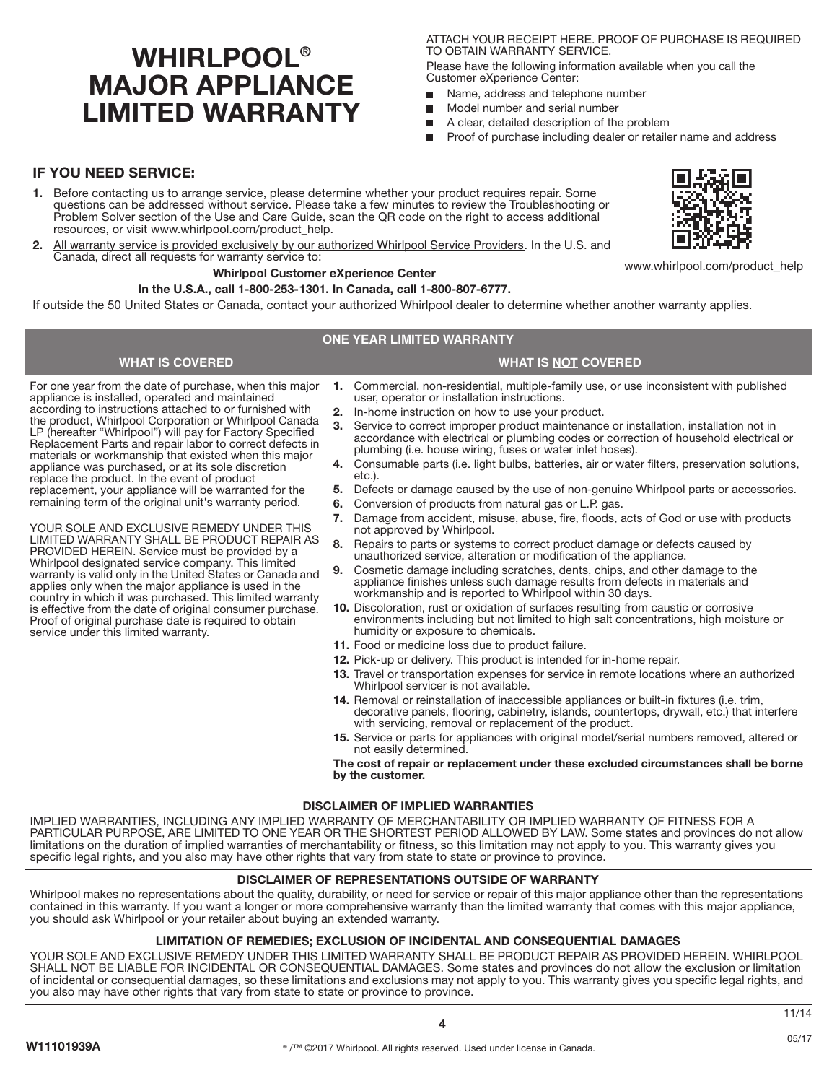# **WHIRLPOOL® MAJOR APPLIANCE LIMITED WARRANTY**

ATTACH YOUR RECEIPT HERE. PROOF OF PURCHASE IS REQUIRED TO OBTAIN WARRANTY SERVICE.

Please have the following information available when you call the Customer eXperience Center:

- П Name, address and telephone number
- $\blacksquare$ Model number and serial number
- A clear, detailed description of the problem П
- $\blacksquare$ Proof of purchase including dealer or retailer name and address

# **IF YOU NEED SERVICE:**

- **1.** Before contacting us to arrange service, please determine whether your product requires repair. Some questions can be addressed without service. Please take a few minutes to review the Troubleshooting or Problem Solver section of the Use and Care Guide, scan the QR code on the right to access additional resources, or visit www.whirlpool.com/product\_help.
- **2.** All warranty service is provided exclusively by our authorized Whirlpool Service Providers. In the U.S. and Canada, direct all requests for warranty service to:

### **Whirlpool Customer eXperience Center**

### **In the U.S.A., call 1-800-253-1301. In Canada, call 1-800-807-6777.**

If outside the 50 United States or Canada, contact your authorized Whirlpool dealer to determine whether another warranty applies.

### **ONE YEAR LIMITED WARRANTY**

# **WHAT IS COVERED WHAT IS NOT COVERED**

For one year from the date of purchase, when this major appliance is installed, operated and maintained according to instructions attached to or furnished with the product, Whirlpool Corporation or Whirlpool Canada LP (hereafter "Whirlpool") will pay for Factory Specified Replacement Parts and repair labor to correct defects in materials or workmanship that existed when this major appliance was purchased, or at its sole discretion replace the product. In the event of product replacement, your appliance will be warranted for the remaining term of the original unit's warranty period.

YOUR SOLE AND EXCLUSIVE REMEDY UNDER THIS LIMITED WARRANTY SHALL BE PRODUCT REPAIR AS PROVIDED HEREIN. Service must be provided by a Whirlpool designated service company. This limited warranty is valid only in the United States or Canada and applies only when the major appliance is used in the country in which it was purchased. This limited warranty is effective from the date of original consumer purchase. Proof of original purchase date is required to obtain service under this limited warranty.

- **1.** Commercial, non-residential, multiple-family use, or use inconsistent with published user, operator or installation instructions.
- **2.** In-home instruction on how to use your product.
- **3.** Service to correct improper product maintenance or installation, installation not in accordance with electrical or plumbing codes or correction of household electrical or plumbing (i.e. house wiring, fuses or water inlet hoses).
- **4.** Consumable parts (i.e. light bulbs, batteries, air or water filters, preservation solutions, etc.).
- **5.** Defects or damage caused by the use of non-genuine Whirlpool parts or accessories.
- **6.** Conversion of products from natural gas or L.P. gas.
- **7.** Damage from accident, misuse, abuse, fire, floods, acts of God or use with products not approved by Whirlpool.
- **8.** Repairs to parts or systems to correct product damage or defects caused by unauthorized service, alteration or modification of the appliance.
- **9.** Cosmetic damage including scratches, dents, chips, and other damage to the appliance finishes unless such damage results from defects in materials and workmanship and is reported to Whirlpool within 30 days.
- **10.** Discoloration, rust or oxidation of surfaces resulting from caustic or corrosive environments including but not limited to high salt concentrations, high moisture or humidity or exposure to chemicals.
- **11.** Food or medicine loss due to product failure.
- **12.** Pick-up or delivery. This product is intended for in-home repair.
- **13.** Travel or transportation expenses for service in remote locations where an authorized Whirlpool servicer is not available.
- **14.** Removal or reinstallation of inaccessible appliances or built-in fixtures (i.e. trim, decorative panels, flooring, cabinetry, islands, countertops, drywall, etc.) that interfere with servicing, removal or replacement of the product.
- **15.** Service or parts for appliances with original model/serial numbers removed, altered or not easily determined.

**The cost of repair or replacement under these excluded circumstances shall be borne by the customer.** 

### **DISCLAIMER OF IMPLIED WARRANTIES**

IMPLIED WARRANTIES, INCLUDING ANY IMPLIED WARRANTY OF MERCHANTABILITY OR IMPLIED WARRANTY OF FITNESS FOR A PARTICULAR PURPOSE, ARE LIMITED TO ONE YEAR OR THE SHORTEST PERIOD ALLOWED BY LAW. Some states and provinces do not allow limitations on the duration of implied warranties of merchantability or fitness, so this limitation may not apply to you. This warranty gives you specific legal rights, and you also may have other rights that vary from state to state or province to province.

## **DISCLAIMER OF REPRESENTATIONS OUTSIDE OF WARRANTY**

Whirlpool makes no representations about the quality, durability, or need for service or repair of this major appliance other than the representations contained in this warranty. If you want a longer or more comprehensive warranty than the limited warranty that comes with this major appliance, you should ask Whirlpool or your retailer about buying an extended warranty.

### **LIMITATION OF REMEDIES; EXCLUSION OF INCIDENTAL AND CONSEQUENTIAL DAMAGES**

YOUR SOLE AND EXCLUSIVE REMEDY UNDER THIS LIMITED WARRANTY SHALL BE PRODUCT REPAIR AS PROVIDED HEREIN. WHIRLPOOL SHALL NOT BE LIABLE FOR INCIDENTAL OR CONSEQUENTIAL DAMAGES. Some states and provinces do not allow the exclusion or limitation of incidental or consequential damages, so these limitations and exclusions may not apply to you. This warranty gives you specific legal rights, and you also may have other rights that vary from state to state or province to province.

4



www.whirlpool.com/product\_help